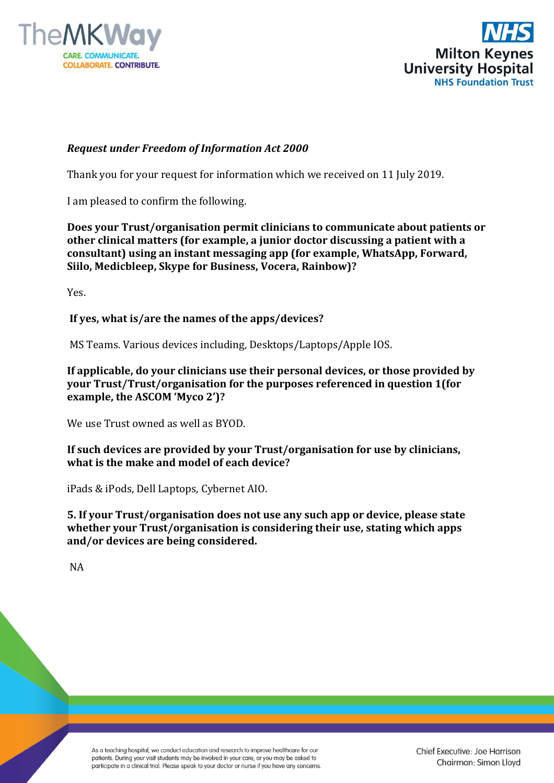



## *Request under Freedom of Information Act 2000*

Thank you for your request for information which we received on 11 July 2019.

I am pleased to confirm the following.

**Does your Trust/organisation permit clinicians to communicate about patients or other clinical matters (for example, a junior doctor discussing a patient with a consultant) using an instant messaging app (for example, WhatsApp, Forward, Siilo, Medicbleep, Skype for Business, Vocera, Rainbow)?** 

Yes.

**If yes, what is/are the names of the apps/devices?**

MS Teams. Various devices including, Desktops/Laptops/Apple IOS.

**If applicable, do your clinicians use their personal devices, or those provided by your Trust/Trust/organisation for the purposes referenced in question 1(for example, the ASCOM 'Myco 2')?** 

We use Trust owned as well as BYOD.

**If such devices are provided by your Trust/organisation for use by clinicians, what is the make and model of each device?** 

iPads & iPods, Dell Laptops, Cybernet AIO.

**5. If your Trust/organisation does not use any such app or device, please state whether your Trust/organisation is considering their use, stating which apps and/or devices are being considered.**

NA

As a teaching hospital, we conduct education and research to improve healthcare for our patients. During your visit students may be involved in your care, or you may be asked to participate in a clinical trial. Please speak to your doctor or nurse if you have any concerns.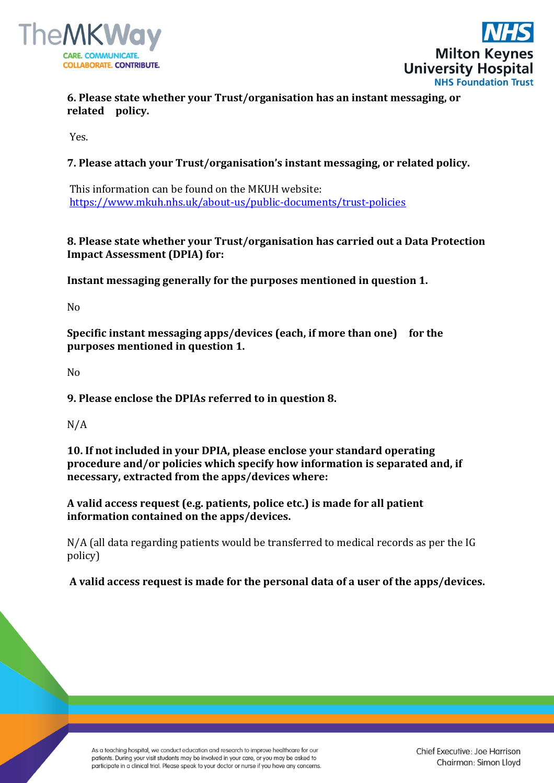



**6. Please state whether your Trust/organisation has an instant messaging, or related policy.**

Yes.

## **7. Please attach your Trust/organisation's instant messaging, or related policy.**

This information can be found on the MKUH website: <https://www.mkuh.nhs.uk/about-us/public-documents/trust-policies>

## **8. Please state whether your Trust/organisation has carried out a Data Protection Impact Assessment (DPIA) for:**

**Instant messaging generally for the purposes mentioned in question 1.**

No

**Specific instant messaging apps/devices (each, if more than one) for the purposes mentioned in question 1.** 

No

**9. Please enclose the DPIAs referred to in question 8.** 

N/A

**10. If not included in your DPIA, please enclose your standard operating procedure and/or policies which specify how information is separated and, if necessary, extracted from the apps/devices where:** 

**A valid access request (e.g. patients, police etc.) is made for all patient information contained on the apps/devices.**

N/A (all data regarding patients would be transferred to medical records as per the IG policy)

**A valid access request is made for the personal data of a user of the apps/devices.**